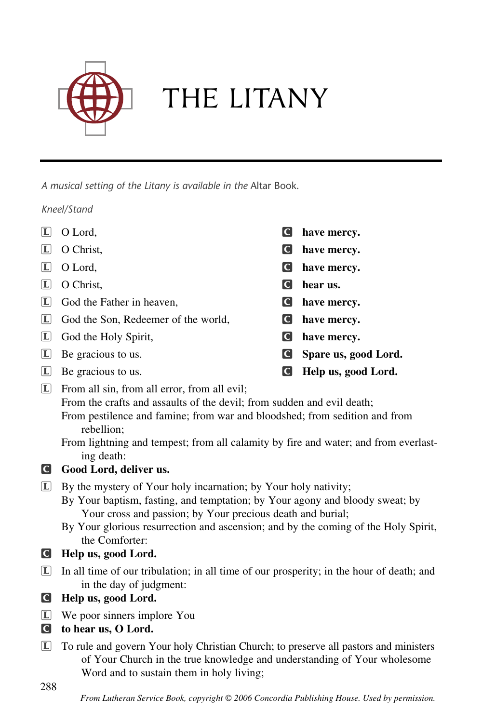

*A musical setting of the Litany is available in the* Altar Book.

*Kneel/Stand*

- L O Lord, C **have mercy.**
- L O Christ, C **have mercy.**
- 
- 
- L God the Father in heaven, C **have mercy.**
- L God the Son, Redeemer of the world, C **have mercy.**
- L God the Holy Spirit, C **have mercy.**
- 
- 
- 
- L O Lord, C **have mercy.** L O Christ, C **hear us.** L Be gracious to us. C **Spare us, good Lord.**
- L Be gracious to us. C **Help us, good Lord.**
- $\boxed{\mathbb{L}}$  From all sin, from all error, from all evil;

From the crafts and assaults of the devil; from sudden and evil death; From pestilence and famine; from war and bloodshed; from sedition and from rebellion;

From lightning and tempest; from all calamity by fire and water; and from everlasting death:

- C **Good Lord, deliver us.**
- L By the mystery of Your holy incarnation; by Your holy nativity;
	- By Your baptism, fasting, and temptation; by Your agony and bloody sweat; by Your cross and passion; by Your precious death and burial;
	- By Your glorious resurrection and ascension; and by the coming of the Holy Spirit, the Comforter:

# C **Help us, good Lord.**

L In all time of our tribulation; in all time of our prosperity; in the hour of death; and in the day of judgment:

# C **Help us, good Lord.**

- L We poor sinners implore You
- C **to hear us, O Lord.**
- L To rule and govern Your holy Christian Church; to preserve all pastors and ministers of Your Church in the true knowledge and understanding of Your wholesome Word and to sustain them in holy living;